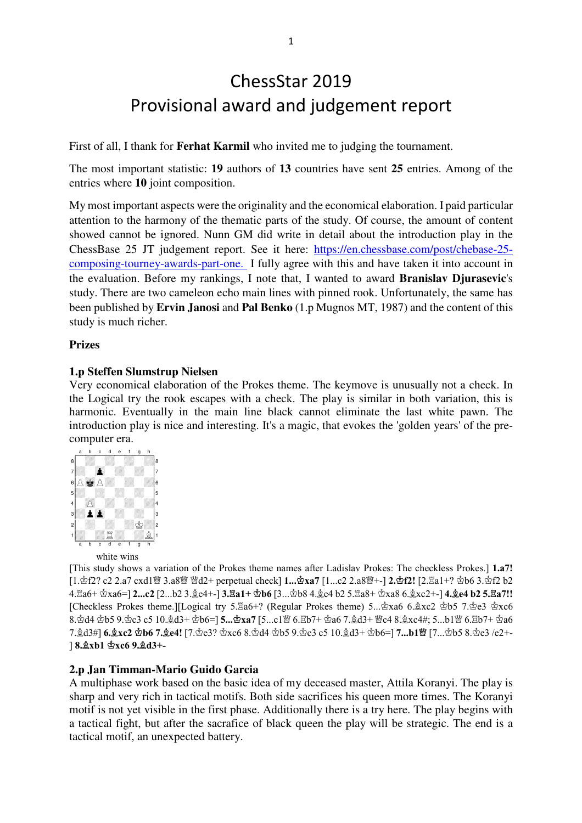# ChessStar 2019 Provisional award and judgement report

First of all, I thank for **Ferhat Karmil** who invited me to judging the tournament.

The most important statistic: **19** authors of **13** countries have sent **25** entries. Among of the entries where **10** joint composition.

My most important aspects were the originality and the economical elaboration. I paid particular attention to the harmony of the thematic parts of the study. Of course, the amount of content showed cannot be ignored. Nunn GM did write in detail about the introduction play in the ChessBase 25 JT judgement report. See it here: https://en.chessbase.com/post/chebase-25 composing-tourney-awards-part-one. I fully agree with this and have taken it into account in the evaluation. Before my rankings, I note that, I wanted to award **Branislav Djurasevic**'s study. There are two cameleon echo main lines with pinned rook. Unfortunately, the same has been published by **Ervin Janosi** and **Pal Benko** (1.p Mugnos MT, 1987) and the content of this study is much richer.

## **Prizes**

## **1.p Steffen Slumstrup Nielsen**

Very economical elaboration of the Prokes theme. The keymove is unusually not a check. In the Logical try the rook escapes with a check. The play is similar in both variation, this is harmonic. Eventually in the main line black cannot eliminate the last white pawn. The introduction play is nice and interesting. It's a magic, that evokes the 'golden years' of the precomputer era.



[This study shows a variation of the Prokes theme names after Ladislav Prokes: The checkless Prokes.] **1.a7!**  [1.f2? c2 2.a7 cxd1" 3.a8" "d2+ perpetual check] **1...xa7** [1...c2 2.a8"+-] **2.f2!** [2.(a1+? b6 3.f2 b2 4. Ha6+  $\Delta$ xa6=] **2...c2** [2...b2 3.  $\Delta$ e4+-] **3. Ha1+**  $\Delta$ **b6** [3... $\Delta$ b8 4. $\Delta$ e4 b2 5. Ha8+  $\Delta$ xa8 6. $\Delta$ xc2+-] **4.** $\Delta$ **e4 b2 5. Ha7!!** [Checkless Prokes theme.][Logical try 5. $\text{\textsterling}a6+$ ? (Regular Prokes theme) 5... $\text{\textsterling}xa6$  6. $\text{\textsterling}xc2$   $\text{\textsterling}b5$  7. $\text{\textsterling}ec6$ 8. d4 db5 9. dc3 c5 10. d3+ db6=] 5... dxa7 [5...c1曾 6. lb7+ da6 7. d3+ 曾c4 8. gxc4#; 5...b1曾 6. lb7+ da6 7. gd3#] 6.gxc2 h6 7.ge4! [7. he3? have 8.hd4 h5 9. he3 c5 10. gd3+ hb6=] 7...b1曾 [7... h5 8. he3 /e2+-] **8.xb1 xc6 9.d3+-**

#### **2.p Jan Timman-Mario Guido Garcia**

A multiphase work based on the basic idea of my deceased master, Attila Koranyi. The play is sharp and very rich in tactical motifs. Both side sacrifices his queen more times. The Koranyi motif is not yet visible in the first phase. Additionally there is a try here. The play begins with a tactical fight, but after the sacrafice of black queen the play will be strategic. The end is a tactical motif, an unexpected battery.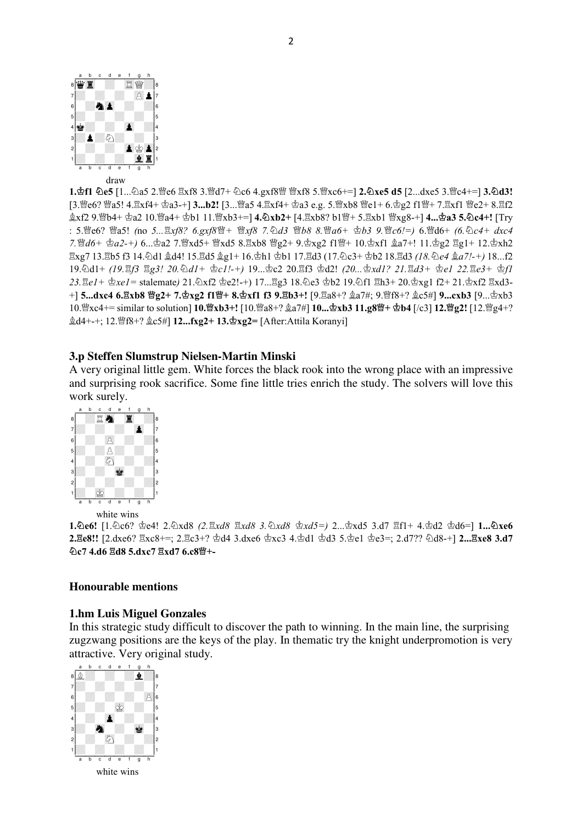

**1.f1 e5** [1...9a5 2."e6 (xf8 3."d7+ 9c6 4.gxf8" "xf8 5."xc6+=] **2.xe5 d5** [2...dxe5 3."c4+=] **3.d3!**  [3. e6? @a5! 4. Exf4+  $\Phi$ a3-+] **3...b2!** [3... @a5 4. Exf4+  $\Phi$ a3 e.g. 5. @xb8 @e1+ 6. $\Phi$ g2 f1 @+ 7. Exf1 @e2+ 8. Ef2  $\&xf2$  9. ��b4+  $\&a2$  10. ��a4+  $\&b1$  11. ��xb3+=] **4. ②xb2+** [4. Hxb8? b1 ��+ 5. Hxb1 ��xg8-+] **4...** $\&a3$  **5. ②c4+!** [Try : 5.曾c6? 曾a5! *(no 5... hxf8? 6.gxf8曾+ 曾xf8 7. 勾d3 曾b8 8.曾a6+ 查b3 9.曾c6!=)* 6.曾d6+ *(6. 2c4+ dxc4* 7. 曾d6+ ga2-+) 6...ga2 7. 曾xd5+ 曾xd5 8. Exb8 曾g2+ 9. gxg2 f1 曾+ 10. gxf1 ga7+! 11. gg2 Eg1+ 12. gxh2  $\Xi$ xg7 13. $\Xi$ b5 f3 14. $\Delta$ d1  $\&$ d4! 15. $\Xi$ d5  $\&$ g1+ 16. $\&$ h1  $\&$ b1 17. $\Xi$ d3 (17. $\&$ c3+  $\&$ b2 18. $\Xi$ d3 *(18.* $\&$ *e4*  $\&$ *a7!-+)* 18...f2 19.2d1+ *(19.Ef3 Eg3! 20.*2d1+ 空c1!-+) 19... c2 20.Ef3 空d2! *(20... c3xd1? 21.Ed3+ 空e1 22.Ee3+ 空f1* 23. ge1+  $\text{\&}z_1 = \text{talemate}$  21.  $\text{\&}x_1 = \text{talemate}$  21.  $\text{\&}x_1 = \text{tale}$   $x_2 = +$  17... ge3 18.  $\text{\&}e3 = 19.$   $\text{\&}f1 = 13 + 20.$   $\text{\&}x_2 = 1$   $\text{tale}$   $x_1 = 21.$   $\text{\&}x_1 = 21.$ +] **5...dxc4 6.gxb8 曾g2+ 7.gxg2 f1曾+ 8.gxf1 f3 9.gb3+!** [9.ga8+?  $\hat{\mathbb{A}}$ a7#; 9.曾f8+?  $\hat{\mathbb{A}}$ c5#] **9...cxb3** [9...gxb3] 10. gxc4+= similar to solution] 10. gxb3+! [10. ga8+?  $\&a7\#$ ] 10...  $\&bx$ b3 11.g8曾+  $\&b4$  [/c3] 12. 曾g2! [12. 曾g4+?  $\&$ **d4+-+; 12. 曾f8+?**  $&$ **c5#] <b>12...fxg2+ 13. 空xg2=** [After:Attila Koranyi]

#### **3.p Steffen Slumstrup Nielsen-Martin Minski**

A very original little gem. White forces the black rook into the wrong place with an impressive and surprising rook sacrifice. Some fine little tries enrich the study. The solvers will love this work surely.



white wins

1.2e6! [1.2c6?  $\text{deg} = 2.2 \times 8.8$   $\text{deg} = 3.2 \times 8.8$   $\text{deg} = 2.2 \times 8.2 = 3.47$   $\text{deg} = 4.2 \times 2.2 \times 6 = 1.2 \times 8.2$ **2. Ze8!!** [2.dxe6? Exc8+=; 2. Ec3+? 空d4 3.dxe6 空xc3 4. 空d1 空d3 5. 空e1 空e3=; 2.d7?? ②d8-+] **2... Exe8 3.d7 @c7 4.d6 gd8 5.dxc7 gxd7 6.c8窗+-**

#### **Honourable mentions**

#### **1.hm Luis Miguel Gonzales**

In this strategic study difficult to discover the path to winning. In the main line, the surprising zugzwang positions are the keys of the play. In thematic try the knight underpromotion is very attractive. Very original study.

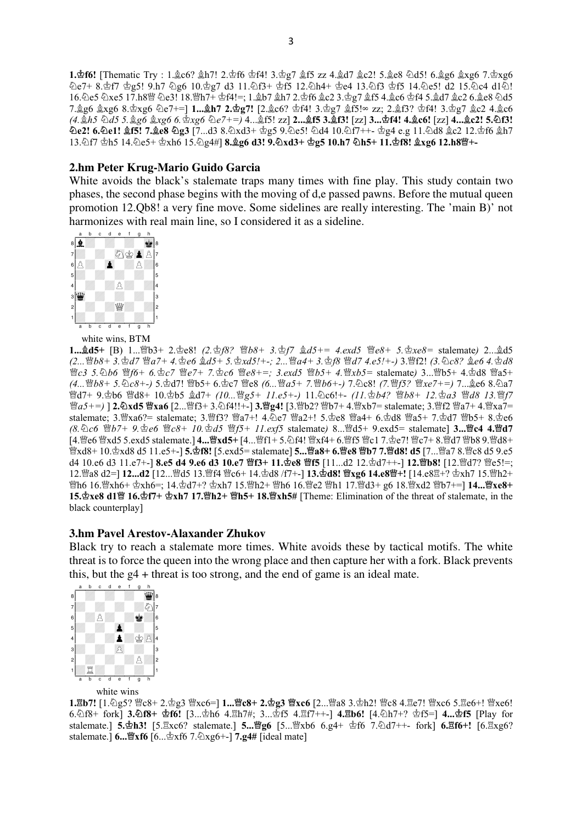1. **af6!** [Thematic Try : 1. 2c6? 2h7! 2. \$f6 \$f4! 3. \$g7 2f5 zz 4. 2d7 2c2! 5. 2c8 4d5! 6. 2g6 2xg6 7. \$xg6  $\triangle$ e7+ 8.\$f7 \$g5! 9.h7 ඩg6 10.\$g7 d3 11.ඩf3+ \$f5 12.ඩh4+ \$e4 13.ඩf3 \$f5 14.ඩe5! d2 15.ඩc4 d12. 16.2e5 2xe5 17.h8 g 2e3! 18. gh7+ gh4!=; 1. gb7 gh7 2. gh6 gc2 3. gp7 gf5 4. gc6 gh4 5. gd7 gc2 6. ge8 2d5 7. g6 gxg6 8. gxg6 ①e7+=] **1... gh7 2. g7!** [2. gc6? gf4! 3. g7 gf5!∞ zz; 2. gf3? gf4! 3. g7 gc2 4. gc6 *(4.h5 d5 5.g6 xg6 6.xg6 e7+=)* 4...-f5! zz] **2...f5 3.f3!** [zz] **3...f4! 4.c6!** [zz] **4...c2! 5.f3!**   $\Omega$ e2! 6. $\Omega$ e1!  $\hat{\mathfrak{g}}$ f5! 7. $\hat{\mathfrak{g}}$ e8  $\Omega$ g3 [7...d3 8. $\partial x$ d3+  $\Phi$ g5 9. $\partial c$ 5!  $\partial d4$  10. $\partial f$ 7++- $\Phi$ g4 e.g 11. $\partial d8$   $\hat{\mathfrak{g}}$ c2 12. $\Phi$ f6  $\hat{\mathfrak{g}}$ h7 13. http://db5 14. he5+ \phan 15. he4#] **8. ge6 d3! 9. hxd3+ \phan 10.h7 \hn5+ 11. \phan 1.grg6 12.h8\phan-**

## **2.hm Peter Krug-Mario Guido Garcia**

White avoids the black's stalemate traps many times with fine play. This study contain two phases, the second phase begins with the moving of d,e passed pawns. Before the mutual queen promotion 12.Qb8! a very fine move. Some sidelines are really interesting. The 'main B)' not harmonizes with real main line, so I considered it as a sideline.



white wins, BTM

**1...d5+** [B) 1..."b3+ 2.e8! *(2.f8? b8+ 3.f7 d5+= 4.exd5 e8+ 5.xe8=* stalemate*)* 2...-d5 (2... 曾b8+ 3. hd7 曾a7+ 4. c6 gd5+ 5. hxd5!+-; 2... 曾a4+ 3. hf8 曾d7 4.e5!+-) 3.曾f2! *(3.* hc8? ge6 4. hd8 *曾c3 5.*勾b6 *曾f6+ 6.�c7 曾e7+ 7.�c6 曾e8+=; 3.exd5 曾b5+ 4.曾xb5= stalemate) 3...曾b5+ 4.�d8 曾a5+ (4...過b8+ 5.�c8+-) 5.*��d7! 營b5+ 6.�c7 營c8 *(6...嚙a5+ 7.暨b6+-) 7.*�c8! *(7.暨f5? ��xe7+=) 7...*��c6 8.��a7 營d7+ 9. gb6 暨d8+ 10. gb5 gd7+ *(10... 暨g5+ 11.e5+-*) 11. @c6!+- *(11.* gb4? *曾b8+ 12.* ga3 暨d8 13. 暨f7 *<u>Ma5+=)</u>* **] 2. Axd5 Mxa6 [2... Mf3+ 3. Af4!!+-] 3. Mg4! [3. Mb2? Mb7+ 4. Mxb7= stalemate; 3. Mf2 Ma7+ 4. Mxa7=** stalemate; 3. xa6?= stalemate; 3. 曾f3? 曾a7+! 4. De7 曾a2+! 5. ce8 曾a4+ 6. 空d8 曾a5+ 7. 空d7 曾b5+ 8. 空e6 *(8.c6 b7+ 9.e6 c8+ 10.d5 f5+ 11.exf5* stalemate*)* 8..."d5+ 9.exd5= stalemate] **3...c4 4.d7**  [4.빨e6 빨xd5 5.exd5 stalemate.] 4....빨x**d5**+ [4...빨f1+ 5.신f4! 빨xf4+ 6.빨f5 빨c1 7.호e7! 빨c7+ 8.빨d7 빨b8 9.빨d8+ "xd8+ 10.xd8 d5 11.e5+-] **5.f8!** [5.exd5= stalemate] **5...a8+ 6.e8 b7 7.d8! d5** [7..."a7 8."c8 d5 9.e5 d4 10.e6 d3 11.e7+-] **8.e5 d4 9.e6 d3 10.e7 暨f3+ 11.h2e8 暨f5** [11...d2 12. $\Delta$ d7++-] **12.暨b8!** [12.暨d7? 暨e5!=; 12.醬a8 d2=] 1**2...d2** [12...醬d5 13.醬f4 暨c6+ 14.壺d8 /f7+-] **13.壺d8! 暨xg6 14.e8暨+!** [14.e8罝+? 壺xh7 15.會h2+ "h6 16."xh6+ xh6=; 14.d7+? xh7 15."h2+ "h6 16."e2 "h1 17."d3+ g6 18."xd2 "b7+=] **14...xe8+ 15.gxe8 d1曾 16.gf7+ gxh7 17.曾h2+ 曾h5+ 18.曾xh5#** [Theme: Elimination of the threat of stalemate, in the black counterplay]

#### **3.hm Pavel Arestov-Alaxander Zhukov**

Black try to reach a stalemate more times. White avoids these by tactical motifs. The white threat is to force the queen into the wrong place and then capture her with a fork. Black prevents this, but the g4 + threat is too strong, and the end of game is an ideal mate.



1.Eb7! [1.2g5? 曾c8+ 2.g3 曾xc6=] 1...曾c8+ 2.gg3 曾xc6 [2....曾a8 3.gh2! 曾c8 4.Ee7! 曾xc6 5.Ee6+! 曾xc6! 6.9f8+ fork] **3.f8+ f6!** [3...h6 4.(h7#; 3...f5 4.(f7++-] **4.
b6!** [4.9h7+? f5=] **4...f5** [Play for stalemate.] 5. h3! [5. xc6? stalemate.] 5... 曾g6 [5... 曾xb6 6.g4+ gf6 7. hd7++- fork] 6. hf6+! [6. xg6? stalemate.] **6...xf6** [6...xf6 7.9xg6+-] **7.g4#** [ideal mate]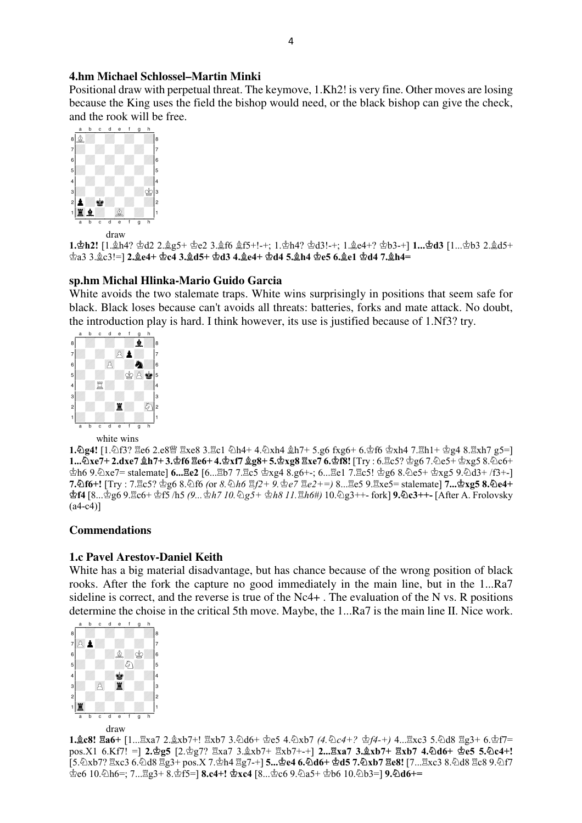## **4.hm Michael Schlossel–Martin Minki**

Positional draw with perpetual threat. The keymove, 1.Kh2! is very fine. Other moves are losing because the King uses the field the bishop would need, or the black bishop can give the check, and the rook will be free.



**1. gh2!** [1. gh4? gd2 2. ge5+ ge2 3. gf6 gf5+!-+; 1. gh4? gd3!-+; 1. ge4+? gb3-+] **1... gd3** [1... gb3 2. gd5+  $\dot{\text{2}}$ a3 3. $\dot{\text{2}}$ c3!=] 2. $\dot{\text{2}}$ e4+  $\dot{\text{2}}$ c4 3. $\dot{\text{2}}$ d5+  $\dot{\text{2}}$ d3 4. $\dot{\text{2}}$ e4+  $\dot{\text{2}}$ d4 5. $\dot{\text{2}}$ h4  $\dot{\text{2}}$ e5 6. $\dot{\text{2}}$ e1  $\dot{\text{2}}$ d4 7. $\dot{\text{2}}$ h4=

# **sp.hm Michal Hlinka-Mario Guido Garcia**

White avoids the two stalemate traps. White wins surprisingly in positions that seem safe for black. Black loses because can't avoids all threats: batteries, forks and mate attack. No doubt, the introduction play is hard. I think however, its use is justified because of 1.Nf3? try.



#### white wins

1. **2g4!** [1. 2f3?  $\mathbb{E}$ e6 2.e8  $\mathbb{E}$   $\mathbb{E}$ xe8 3. $\mathbb{E}$ c1  $\Diamond$ h4+ 4.  $\Diamond$ xh4  $\Diamond$ h7+ 5.g6 fxg6+ 6. $\Diamond$ f6  $\Diamond$ xh4 7. $\mathbb{E}$ h1+  $\Diamond$ g4 8. $\mathbb{E}$ xh7 g5=]  $1...$ ②xe7+ 2.dxe7 **gh7+ 3.\$f6 Ze6+ 4.** $\Delta$ **xf7 gg8+ 5.** $\Delta$ **xg8 Zxe7 6.** $\Delta$ **f8! [Try : 6.Zc5?**  $\Delta$ **g6 7.** $\Delta$ **e5+**  $\Delta$ **xg5 8.** $\Delta$ **c6+**  $\Phi$ h6 9.  $\Phi$ xe7= stalemate] **6... Ξe2** [6...Ξb7 7.Ξc5  $\Phi$ xg4 8.g6+-; 6...Ξe1 7.Ξc5!  $\Phi$ g6 8.  $\Phi$ e5+  $\Phi$ xg5 9.  $\Phi$ d3+ /f3+-] **7.**  $\delta$ **f6+!** [Try : 7. $\Xi$ c5?  $\Phi$ g6 8. $\delta$ f6 (or *8.*  $\delta$ h6  $\Xi/2+9$ .  $\Phi$ e7  $\Xi$ e2+=) 8... $\Xi$ c5 9. $\Xi$ xc5= stalemate] **7...** $\Phi$ **xg5 8.** $\delta$ **e4+ 壺f4** [8...壺g6 9.宮c6+ 壺f5 /h5 *(9...* 壺h7 10. ඛg5+ 壺h8 11.প2h6#) 10.டிg3++- fork] **9.こc3++-** [After A. Frolovsky  $(a4-c4)$ ]

# **Commendations**

# **1.c Pavel Arestov-Daniel Keith**

White has a big material disadvantage, but has chance because of the wrong position of black rooks. After the fork the capture no good immediately in the main line, but in the 1...Ra7 sideline is correct, and the reverse is true of the Nc4+ . The evaluation of the N vs. R positions determine the choise in the critical 5th move. Maybe, the 1...Ra7 is the main line II. Nice work.



**1.gc8! 骂a6+** [1... 义xa7 2.gxb7+! 骂xb7 3.勾d6+ 空e5 4.勾xb7 *(4.勾c4+? 空f4-+)* 4... 骂xc3 5.勾d8 骂g3+ 6.空f7= pos.X1 6.Kf7! = 2. **g5** [2. g7?  $\exists x a 7 3. \& x b 7+ \exists x b 7+1$  2...  $\exists x a 7 3. \& x b 7+ \exists x b 7 4. \& d6+ \& e5 5. \& c4+!$ [5.2xb7? Exc3 6.2d8 Eg3+ pos.X 7. ph4 Eg7-+] **5... ge4 6.2d6+ gd5 7.2xb7 Ee8!** [7...Exc3 8.2d8 Ec8 9.2f7  $\Phi$ c6 10.2h6=; 7... $\Xi$ g3+ 8. $\Phi$ f5=] **8.c4+!**  $\Phi$ **xc4** [8... $\Phi$ c6 9.2a5+  $\Phi$ b6 10.2b3=] **9.2d6+=**